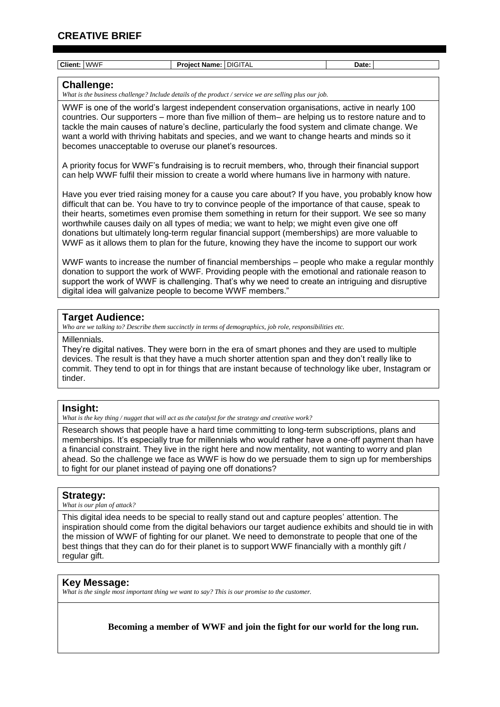### **CREATIVE BRIEF**

| Client: WWF             | <b>Project Name: DIGITAL</b>                                                                                                                                                                                                                                                                                                                                                                                                                                                                                                                                                                                  | Date: |
|-------------------------|---------------------------------------------------------------------------------------------------------------------------------------------------------------------------------------------------------------------------------------------------------------------------------------------------------------------------------------------------------------------------------------------------------------------------------------------------------------------------------------------------------------------------------------------------------------------------------------------------------------|-------|
| <b>Challenge:</b>       | What is the business challenge? Include details of the product / service we are selling plus our job.                                                                                                                                                                                                                                                                                                                                                                                                                                                                                                         |       |
|                         | WWF is one of the world's largest independent conservation organisations, active in nearly 100<br>countries. Our supporters – more than five million of them– are helping us to restore nature and to<br>tackle the main causes of nature's decline, particularly the food system and climate change. We<br>want a world with thriving habitats and species, and we want to change hearts and minds so it<br>becomes unacceptable to overuse our planet's resources.                                                                                                                                          |       |
|                         | A priority focus for WWF's fundraising is to recruit members, who, through their financial support<br>can help WWF fulfil their mission to create a world where humans live in harmony with nature.                                                                                                                                                                                                                                                                                                                                                                                                           |       |
|                         | Have you ever tried raising money for a cause you care about? If you have, you probably know how<br>difficult that can be. You have to try to convince people of the importance of that cause, speak to<br>their hearts, sometimes even promise them something in return for their support. We see so many<br>worthwhile causes daily on all types of media; we want to help; we might even give one off<br>donations but ultimately long-term regular financial support (memberships) are more valuable to<br>WWF as it allows them to plan for the future, knowing they have the income to support our work |       |
|                         | WWF wants to increase the number of financial memberships – people who make a regular monthly<br>donation to support the work of WWF. Providing people with the emotional and rationale reason to<br>support the work of WWF is challenging. That's why we need to create an intriguing and disruptive<br>digital idea will galvanize people to become WWF members."                                                                                                                                                                                                                                          |       |
| <b>Target Audience:</b> | Who are we talking to? Describe them succinctly in terms of demographics, job role, responsibilities etc.                                                                                                                                                                                                                                                                                                                                                                                                                                                                                                     |       |
| Millennials.            | Thoy're digital patives. Thoy were bern in the era of smart phenos and thoy are used to multiple                                                                                                                                                                                                                                                                                                                                                                                                                                                                                                              |       |

They're digital natives. They were born in the era of smart phones and they are used to multiple devices. The result is that they have a much shorter attention span and they don't really like to commit. They tend to opt in for things that are instant because of technology like uber, Instagram or tinder.

### **Insight:**

*What is the key thing / nugget that will act as the catalyst for the strategy and creative work?*

Research shows that people have a hard time committing to long-term subscriptions, plans and memberships. It's especially true for millennials who would rather have a one-off payment than have a financial constraint. They live in the right here and now mentality, not wanting to worry and plan ahead. So the challenge we face as WWF is how do we persuade them to sign up for memberships to fight for our planet instead of paying one off donations?

### **Strategy:**

*What is our plan of attack?* 

This digital idea needs to be special to really stand out and capture peoples' attention. The inspiration should come from the digital behaviors our target audience exhibits and should tie in with the mission of WWF of fighting for our planet. We need to demonstrate to people that one of the best things that they can do for their planet is to support WWF financially with a monthly gift / regular gift.

### **Key Message:**

*What is the single most important thing we want to say? This is our promise to the customer.*

**Becoming a member of WWF and join the fight for our world for the long run.**